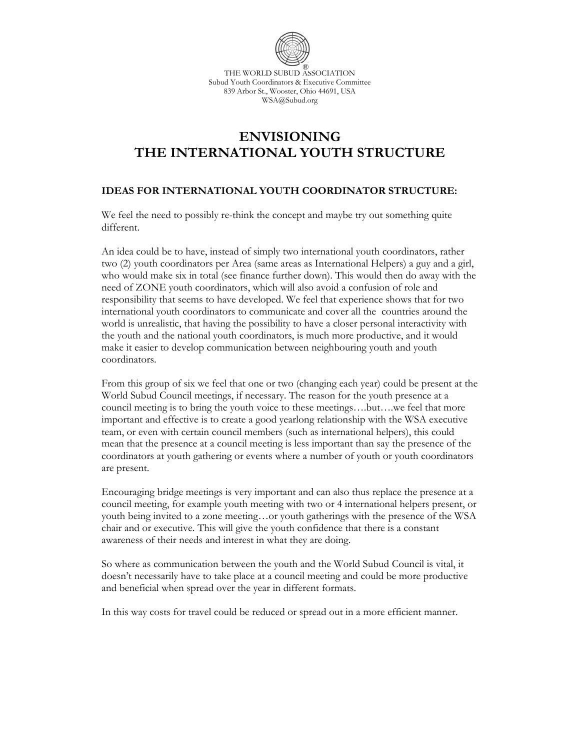

THE WORLD SUBUD ASSOCIATION Subud Youth Coordinators & Executive Committee 839 Arbor St., Wooster, Ohio 44691, USA WSA@Subud.org

# **ENVISIONING THE INTERNATIONAL YOUTH STRUCTURE**

## **IDEAS FOR INTERNATIONAL YOUTH COORDINATOR STRUCTURE:**

We feel the need to possibly re-think the concept and maybe try out something quite different.

An idea could be to have, instead of simply two international youth coordinators, rather two (2) youth coordinators per Area (same areas as International Helpers) a guy and a girl, who would make six in total (see finance further down). This would then do away with the need of ZONE youth coordinators, which will also avoid a confusion of role and responsibility that seems to have developed. We feel that experience shows that for two international youth coordinators to communicate and cover all the countries around the world is unrealistic, that having the possibility to have a closer personal interactivity with the youth and the national youth coordinators, is much more productive, and it would make it easier to develop communication between neighbouring youth and youth coordinators.

From this group of six we feel that one or two (changing each year) could be present at the World Subud Council meetings, if necessary. The reason for the youth presence at a council meeting is to bring the youth voice to these meetings….but….we feel that more important and effective is to create a good yearlong relationship with the WSA executive team, or even with certain council members (such as international helpers), this could mean that the presence at a council meeting is less important than say the presence of the coordinators at youth gathering or events where a number of youth or youth coordinators are present.

Encouraging bridge meetings is very important and can also thus replace the presence at a council meeting, for example youth meeting with two or 4 international helpers present, or youth being invited to a zone meeting…or youth gatherings with the presence of the WSA chair and or executive. This will give the youth confidence that there is a constant awareness of their needs and interest in what they are doing.

So where as communication between the youth and the World Subud Council is vital, it doesn't necessarily have to take place at a council meeting and could be more productive and beneficial when spread over the year in different formats.

In this way costs for travel could be reduced or spread out in a more efficient manner.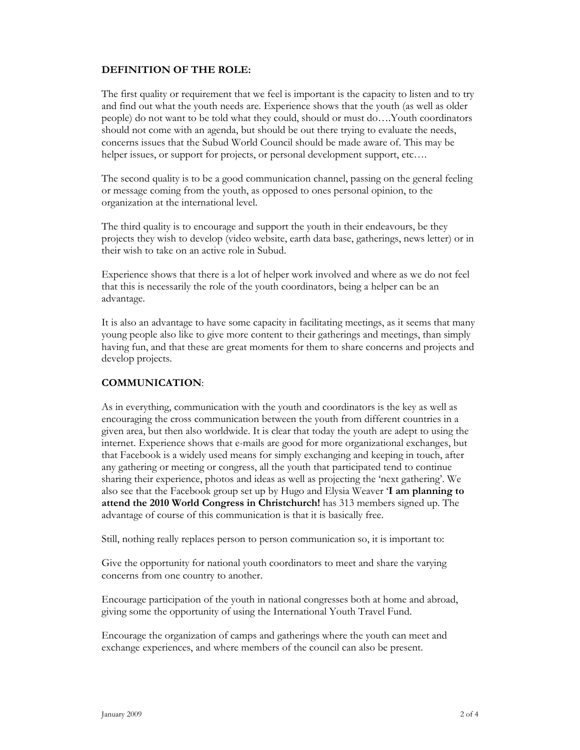#### **DEFINITION OF THE ROLE:**

The first quality or requirement that we feel is important is the capacity to listen and to try and find out what the youth needs are. Experience shows that the youth (as well as older people) do not want to be told what they could, should or must do….Youth coordinators should not come with an agenda, but should be out there trying to evaluate the needs, concerns issues that the Subud World Council should be made aware of. This may be helper issues, or support for projects, or personal development support, etc....

The second quality is to be a good communication channel, passing on the general feeling or message coming from the youth, as opposed to ones personal opinion, to the organization at the international level.

The third quality is to encourage and support the youth in their endeavours, be they projects they wish to develop (video website, earth data base, gatherings, news letter) or in their wish to take on an active role in Subud.

Experience shows that there is a lot of helper work involved and where as we do not feel that this is necessarily the role of the youth coordinators, being a helper can be an advantage.

It is also an advantage to have some capacity in facilitating meetings, as it seems that many young people also like to give more content to their gatherings and meetings, than simply having fun, and that these are great moments for them to share concerns and projects and develop projects.

## **COMMUNICATION**:

As in everything, communication with the youth and coordinators is the key as well as encouraging the cross communication between the youth from different countries in a given area, but then also worldwide. It is clear that today the youth are adept to using the internet. Experience shows that e-mails are good for more organizational exchanges, but that Facebook is a widely used means for simply exchanging and keeping in touch, after any gathering or meeting or congress, all the youth that participated tend to continue sharing their experience, photos and ideas as well as projecting the 'next gathering'. We also see that the Facebook group set up by Hugo and Elysia Weaver '**I am planning to attend the 2010 World Congress in Christchurch!** has 313 members signed up. The advantage of course of this communication is that it is basically free.

Still, nothing really replaces person to person communication so, it is important to:

Give the opportunity for national youth coordinators to meet and share the varying concerns from one country to another.

Encourage participation of the youth in national congresses both at home and abroad, giving some the opportunity of using the International Youth Travel Fund.

Encourage the organization of camps and gatherings where the youth can meet and exchange experiences, and where members of the council can also be present.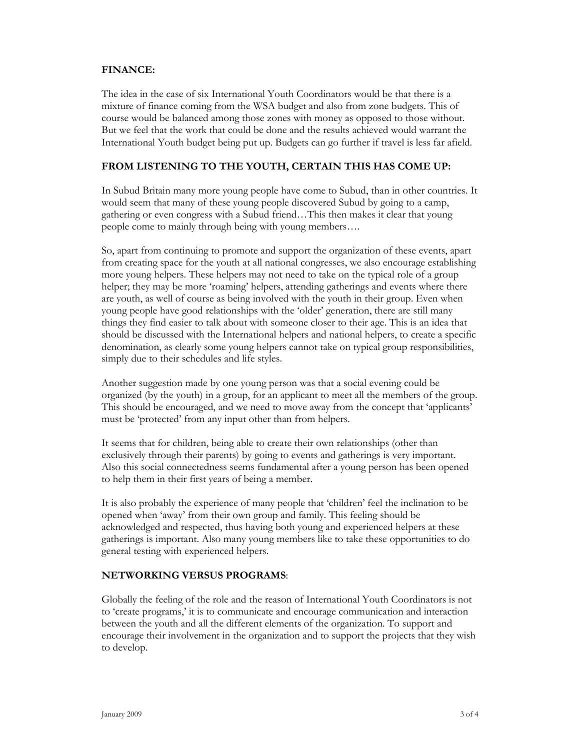#### **FINANCE:**

The idea in the case of six International Youth Coordinators would be that there is a mixture of finance coming from the WSA budget and also from zone budgets. This of course would be balanced among those zones with money as opposed to those without. But we feel that the work that could be done and the results achieved would warrant the International Youth budget being put up. Budgets can go further if travel is less far afield.

## **FROM LISTENING TO THE YOUTH, CERTAIN THIS HAS COME UP:**

In Subud Britain many more young people have come to Subud, than in other countries. It would seem that many of these young people discovered Subud by going to a camp, gathering or even congress with a Subud friend…This then makes it clear that young people come to mainly through being with young members….

So, apart from continuing to promote and support the organization of these events, apart from creating space for the youth at all national congresses, we also encourage establishing more young helpers. These helpers may not need to take on the typical role of a group helper; they may be more 'roaming' helpers, attending gatherings and events where there are youth, as well of course as being involved with the youth in their group. Even when young people have good relationships with the 'older' generation, there are still many things they find easier to talk about with someone closer to their age. This is an idea that should be discussed with the International helpers and national helpers, to create a specific denomination, as clearly some young helpers cannot take on typical group responsibilities, simply due to their schedules and life styles.

Another suggestion made by one young person was that a social evening could be organized (by the youth) in a group, for an applicant to meet all the members of the group. This should be encouraged, and we need to move away from the concept that 'applicants' must be 'protected' from any input other than from helpers.

It seems that for children, being able to create their own relationships (other than exclusively through their parents) by going to events and gatherings is very important. Also this social connectedness seems fundamental after a young person has been opened to help them in their first years of being a member.

It is also probably the experience of many people that 'children' feel the inclination to be opened when 'away' from their own group and family. This feeling should be acknowledged and respected, thus having both young and experienced helpers at these gatherings is important. Also many young members like to take these opportunities to do general testing with experienced helpers.

#### **NETWORKING VERSUS PROGRAMS**:

Globally the feeling of the role and the reason of International Youth Coordinators is not to 'create programs,' it is to communicate and encourage communication and interaction between the youth and all the different elements of the organization. To support and encourage their involvement in the organization and to support the projects that they wish to develop.